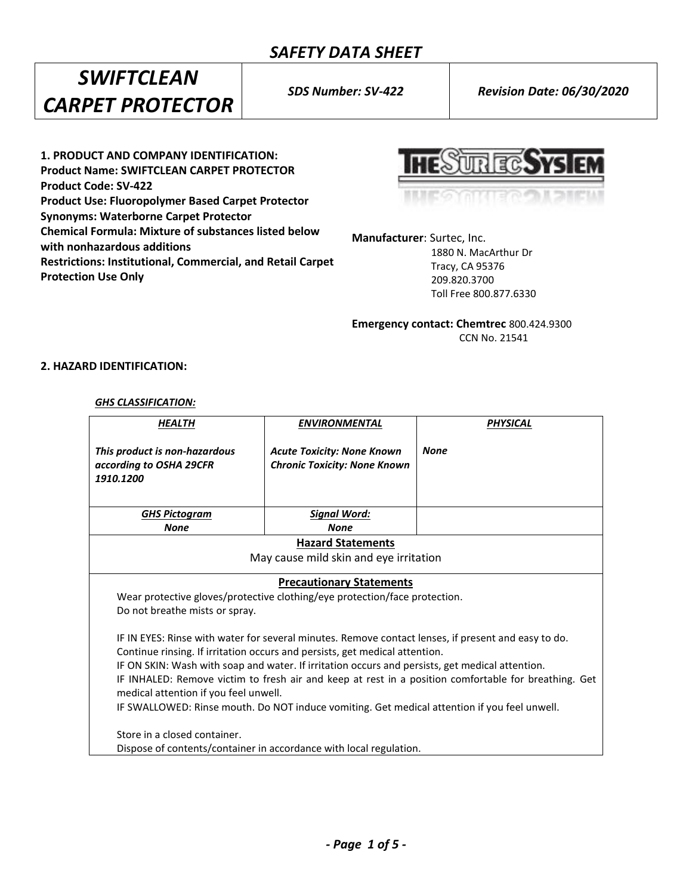*SWIFTCLEAN CARPET PROTECTOR*

*SDS Number: SV-422 Revision Date: 06/30/2020*

**1. PRODUCT AND COMPANY IDENTIFICATION: Product Name: SWIFTCLEAN CARPET PROTECTOR Product Code: SV-422 Product Use: Fluoropolymer Based Carpet Protector Synonyms: Waterborne Carpet Protector Chemical Formula: Mixture of substances listed below with nonhazardous additions Restrictions: Institutional, Commercial, and Retail Carpet Protection Use Only**

**URECSYS** 

**Manufacturer**: Surtec, Inc.

 1880 N. MacArthur Dr Tracy, CA 95376 209.820.3700 Toll Free 800.877.6330

**Emergency contact: Chemtrec** 800.424.9300 CCN No. 21541

# **2. HAZARD IDENTIFICATION:**

#### *GHS CLASSIFICATION:*

| HEALTH                                                                                                                                                                                                                                                                                                                                                                                                                                                                                                                                                                                                                                                                                                                                                                                          | <b>ENVIRONMENTAL</b>                                                     | <b>PHYSICAL</b> |  |  |  |
|-------------------------------------------------------------------------------------------------------------------------------------------------------------------------------------------------------------------------------------------------------------------------------------------------------------------------------------------------------------------------------------------------------------------------------------------------------------------------------------------------------------------------------------------------------------------------------------------------------------------------------------------------------------------------------------------------------------------------------------------------------------------------------------------------|--------------------------------------------------------------------------|-----------------|--|--|--|
| This product is non-hazardous<br>according to OSHA 29CFR<br>1910.1200                                                                                                                                                                                                                                                                                                                                                                                                                                                                                                                                                                                                                                                                                                                           | <b>Acute Toxicity: None Known</b><br><b>Chronic Toxicity: None Known</b> | <b>None</b>     |  |  |  |
| <b>GHS Pictogram</b>                                                                                                                                                                                                                                                                                                                                                                                                                                                                                                                                                                                                                                                                                                                                                                            | <b>Signal Word:</b>                                                      |                 |  |  |  |
| <b>None</b>                                                                                                                                                                                                                                                                                                                                                                                                                                                                                                                                                                                                                                                                                                                                                                                     | <b>None</b>                                                              |                 |  |  |  |
| <b>Hazard Statements</b>                                                                                                                                                                                                                                                                                                                                                                                                                                                                                                                                                                                                                                                                                                                                                                        |                                                                          |                 |  |  |  |
| May cause mild skin and eye irritation                                                                                                                                                                                                                                                                                                                                                                                                                                                                                                                                                                                                                                                                                                                                                          |                                                                          |                 |  |  |  |
| <b>Precautionary Statements</b><br>Wear protective gloves/protective clothing/eye protection/face protection.<br>Do not breathe mists or spray.<br>IF IN EYES: Rinse with water for several minutes. Remove contact lenses, if present and easy to do.<br>Continue rinsing. If irritation occurs and persists, get medical attention.<br>IF ON SKIN: Wash with soap and water. If irritation occurs and persists, get medical attention.<br>IF INHALED: Remove victim to fresh air and keep at rest in a position comfortable for breathing. Get<br>medical attention if you feel unwell.<br>IF SWALLOWED: Rinse mouth. Do NOT induce vomiting. Get medical attention if you feel unwell.<br>Store in a closed container.<br>Dispose of contents/container in accordance with local regulation. |                                                                          |                 |  |  |  |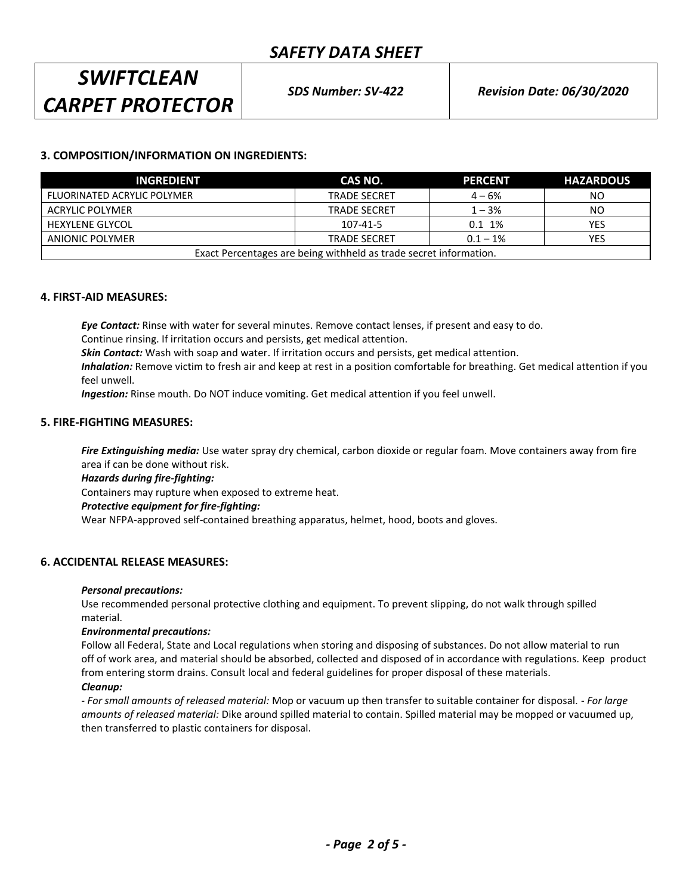# *SWIFTCLEAN CARPET PROTECTOR*

# **3. COMPOSITION/INFORMATION ON INGREDIENTS:**

| <b>INGREDIENT</b>                                                 | CAS NO.             | <b>PERCENT</b> | <b>HAZARDOUS</b> |  |
|-------------------------------------------------------------------|---------------------|----------------|------------------|--|
| FLUORINATED ACRYLIC POLYMER                                       | <b>TRADE SECRET</b> | $4 - 6%$       | NO               |  |
| ACRYLIC POLYMER                                                   | <b>TRADE SECRET</b> | $1 - 3%$       | NO               |  |
| HEXYLENE GLYCOL                                                   | 107-41-5            | 0.1~1%         | <b>YES</b>       |  |
| ANIONIC POLYMER                                                   | <b>TRADE SECRET</b> | $0.1 - 1\%$    | YES              |  |
| Exact Percentages are being withheld as trade secret information. |                     |                |                  |  |

#### **4. FIRST-AID MEASURES:**

*Eye Contact:* Rinse with water for several minutes. Remove contact lenses, if present and easy to do. Continue rinsing. If irritation occurs and persists, get medical attention.

*Skin Contact:* Wash with soap and water. If irritation occurs and persists, get medical attention.

*Inhalation:* Remove victim to fresh air and keep at rest in a position comfortable for breathing. Get medical attention if you feel unwell.

*Ingestion:* Rinse mouth. Do NOT induce vomiting. Get medical attention if you feel unwell.

#### **5. FIRE-FIGHTING MEASURES:**

*Fire Extinguishing media:* Use water spray dry chemical, carbon dioxide or regular foam. Move containers away from fire area if can be done without risk.

*Hazards during fire-fighting:*

Containers may rupture when exposed to extreme heat.

#### *Protective equipment for fire-fighting:*

Wear NFPA-approved self-contained breathing apparatus, helmet, hood, boots and gloves.

# **6. ACCIDENTAL RELEASE MEASURES:**

#### *Personal precautions:*

Use recommended personal protective clothing and equipment. To prevent slipping, do not walk through spilled material.

#### *Environmental precautions:*

Follow all Federal, State and Local regulations when storing and disposing of substances. Do not allow material to run off of work area, and material should be absorbed, collected and disposed of in accordance with regulations. Keep product from entering storm drains. Consult local and federal guidelines for proper disposal of these materials.

#### *Cleanup:*

*- For small amounts of released material:* Mop or vacuum up then transfer to suitable container for disposal. - *For large amounts of released material:* Dike around spilled material to contain. Spilled material may be mopped or vacuumed up, then transferred to plastic containers for disposal.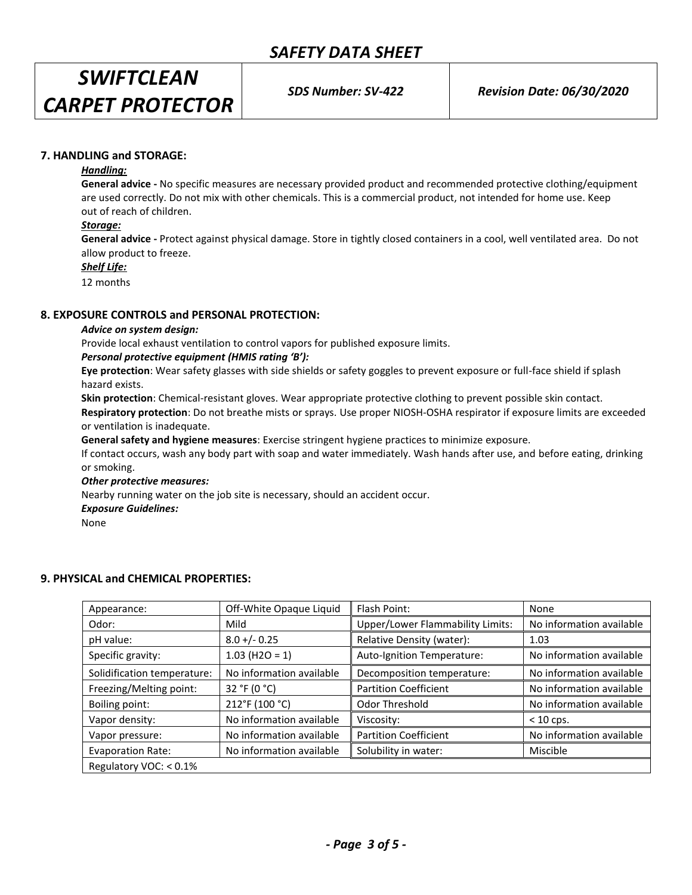*SWIFTCLEAN CARPET PROTECTOR*

*SDS Number: SV-422 Revision Date: 06/30/2020*

# **7. HANDLING and STORAGE:**

#### *Handling:*

**General advice -** No specific measures are necessary provided product and recommended protective clothing/equipment are used correctly. Do not mix with other chemicals. This is a commercial product, not intended for home use. Keep out of reach of children.

#### *Storage:*

**General advice -** Protect against physical damage. Store in tightly closed containers in a cool, well ventilated area. Do not allow product to freeze.

*Shelf Life:*

12 months

#### **8. EXPOSURE CONTROLS and PERSONAL PROTECTION:**

#### *Advice on system design:*

Provide local exhaust ventilation to control vapors for published exposure limits.

#### *Personal protective equipment (HMIS rating 'B'):*

**Eye protection**: Wear safety glasses with side shields or safety goggles to prevent exposure or full-face shield if splash hazard exists.

**Skin protection**: Chemical-resistant gloves. Wear appropriate protective clothing to prevent possible skin contact.

**Respiratory protection**: Do not breathe mists or sprays. Use proper NIOSH-OSHA respirator if exposure limits are exceeded or ventilation is inadequate.

**General safety and hygiene measures**: Exercise stringent hygiene practices to minimize exposure.

If contact occurs, wash any body part with soap and water immediately. Wash hands after use, and before eating, drinking or smoking.

#### *Other protective measures:*

Nearby running water on the job site is necessary, should an accident occur.

#### *Exposure Guidelines:*

None

# **9. PHYSICAL and CHEMICAL PROPERTIES:**

| Appearance:                 | Off-White Opaque Liquid  | Flash Point:                     | None                     |
|-----------------------------|--------------------------|----------------------------------|--------------------------|
| Odor:                       | Mild                     | Upper/Lower Flammability Limits: | No information available |
| pH value:                   | $8.0 + (-0.25)$          | Relative Density (water):        | 1.03                     |
| Specific gravity:           | $1.03$ (H2O = 1)         | Auto-Ignition Temperature:       | No information available |
| Solidification temperature: | No information available | Decomposition temperature:       | No information available |
| Freezing/Melting point:     | 32 °F (0 °C)             | <b>Partition Coefficient</b>     | No information available |
| Boiling point:              | 212°F (100 °C)           | Odor Threshold                   | No information available |
| Vapor density:              | No information available | Viscosity:                       | $< 10$ cps.              |
| Vapor pressure:             | No information available | <b>Partition Coefficient</b>     | No information available |
| <b>Evaporation Rate:</b>    | No information available | Solubility in water:             | Miscible                 |
| Regulatory VOC: < 0.1%      |                          |                                  |                          |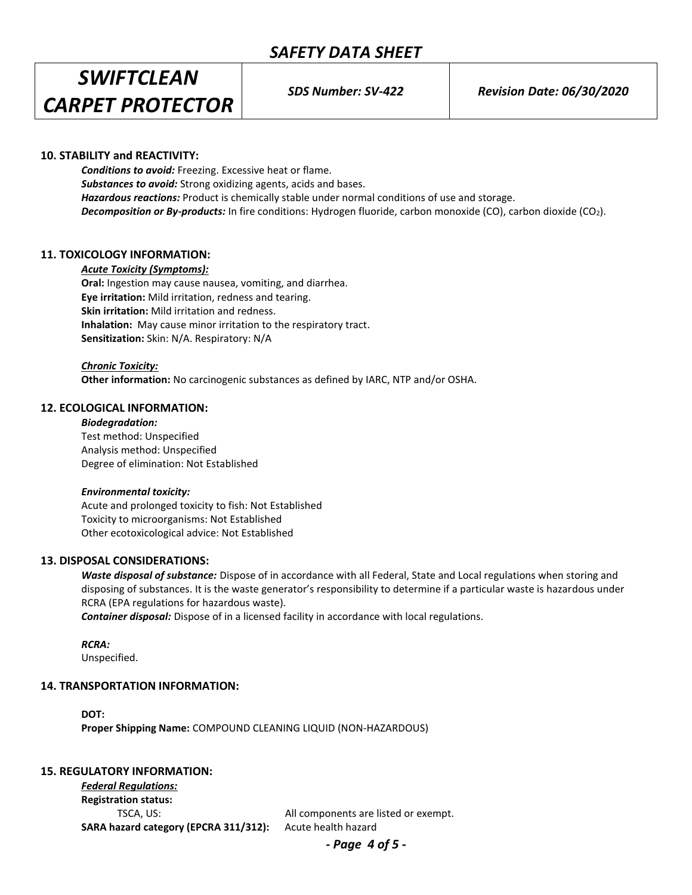*SWIFTCLEAN CARPET PROTECTOR*

*SDS Number: SV-422 Revision Date: 06/30/2020*

# **10. STABILITY and REACTIVITY:**

*Conditions to avoid:* Freezing. Excessive heat or flame. *Substances to avoid:* Strong oxidizing agents, acids and bases. *Hazardous reactions:* Product is chemically stable under normal conditions of use and storage. *Decomposition or By-products:* In fire conditions: Hydrogen fluoride, carbon monoxide (CO), carbon dioxide (CO2).

# **11. TOXICOLOGY INFORMATION:**

#### *Acute Toxicity (Symptoms):*

**Oral:** Ingestion may cause nausea, vomiting, and diarrhea. **Eye irritation:** Mild irritation, redness and tearing. **Skin irritation:** Mild irritation and redness. **Inhalation:** May cause minor irritation to the respiratory tract. **Sensitization:** Skin: N/A. Respiratory: N/A

*Chronic Toxicity:* **Other information:** No carcinogenic substances as defined by IARC, NTP and/or OSHA.

#### **12. ECOLOGICAL INFORMATION:**

*Biodegradation:* Test method: Unspecified Analysis method: Unspecified Degree of elimination: Not Established

#### *Environmental toxicity:*

Acute and prolonged toxicity to fish: Not Established Toxicity to microorganisms: Not Established Other ecotoxicological advice: Not Established

### **13. DISPOSAL CONSIDERATIONS:**

*Waste disposal of substance:* Dispose of in accordance with all Federal, State and Local regulations when storing and disposing of substances. It is the waste generator's responsibility to determine if a particular waste is hazardous under RCRA (EPA regulations for hazardous waste).

*Container disposal:* Dispose of in a licensed facility in accordance with local regulations.

*RCRA:*

Unspecified.

#### **14. TRANSPORTATION INFORMATION:**

**DOT: Proper Shipping Name:** COMPOUND CLEANING LIQUID (NON-HAZARDOUS)

# **15. REGULATORY INFORMATION:**

*Federal Regulations:* **Registration status:** TSCA, US: All components are listed or exempt. **SARA hazard category (EPCRA 311/312):** Acute health hazard

*- Page 4 of 5 -*